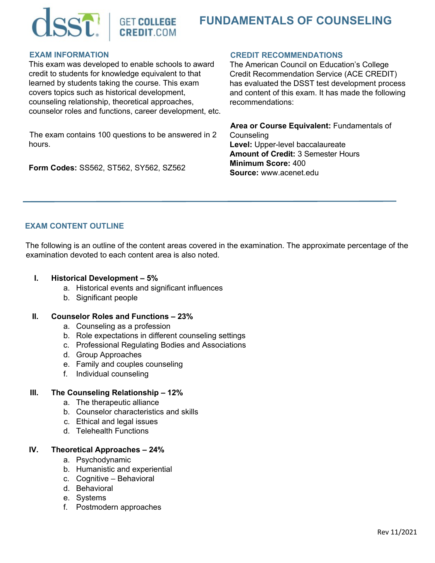



#### **EXAM INFORMATION**

This exam was developed to enable schools to award credit to students for knowledge equivalent to that learned by students taking the course. This exam covers topics such as historical development, counseling relationship, theoretical approaches, counselor roles and functions, career development, etc.

The exam contains 100 questions to be answered in 2 hours.

**Form Codes:** SS562, ST562, SY562, SZ562

#### **CREDIT RECOMMENDATIONS**

The American Council on Education's College Credit Recommendation Service (ACE CREDIT) has evaluated the DSST test development process and content of this exam. It has made the following recommendations:

**Area or Course Equivalent:** Fundamentals of **Counseling Level:** Upper-level baccalaureate **Amount of Credit:** 3 Semester Hours **Minimum Score:** 400 **Source:** www.acenet.edu

# **EXAM CONTENT OUTLINE**

The following is an outline of the content areas covered in the examination. The approximate percentage of the examination devoted to each content area is also noted.

- **I. Historical Development 5%**
	- a. Historical events and significant influences
	- b. Significant people

#### **II. Counselor Roles and Functions – 23%**

- a. Counseling as a profession
- b. Role expectations in different counseling settings
- c. Professional Regulating Bodies and Associations
- d. Group Approaches
- e. Family and couples counseling
- f. Individual counseling

## **III. The Counseling Relationship – 12%**

- a. The therapeutic alliance
- b. Counselor characteristics and skills
- c. Ethical and legal issues
- d. Telehealth Functions

#### **IV. Theoretical Approaches – 24%**

- a. Psychodynamic
- b. Humanistic and experiential
- c. Cognitive Behavioral
- d. Behavioral
- e. Systems
- f. Postmodern approaches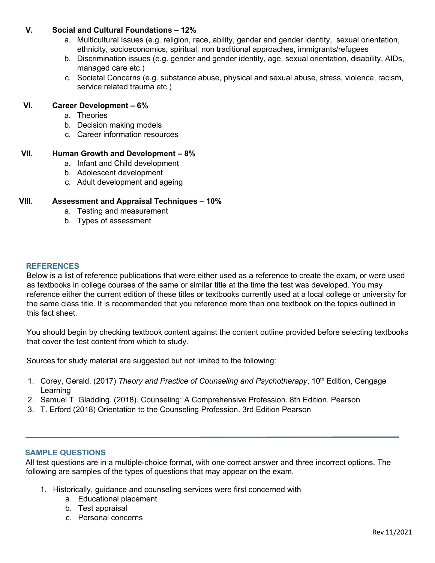# **V. Social and Cultural Foundations – 12%**

- a. Multicultural Issues (e.g. religion, race, ability, gender and gender identity, sexual orientation, ethnicity, socioeconomics, spiritual, non traditional approaches, immigrants/refugees
- b. Discrimination issues (e.g. gender and gender identity, age, sexual orientation, disability, AIDs, managed care etc.)
- c. Societal Concerns (e.g. substance abuse, physical and sexual abuse, stress, violence, racism, service related trauma etc.)

# **VI. Career Development – 6%**

- a. Theories
- b. Decision making models
- c. Career information resources

# **VII. Human Growth and Development – 8%**

- a. Infant and Child development
- b. Adolescent development
- c. Adult development and ageing

# **VIII. Assessment and Appraisal Techniques – 10%**

- a. Testing and measurement
- b. Types of assessment

## **REFERENCES**

Below is a list of reference publications that were either used as a reference to create the exam, or were used as textbooks in college courses of the same or similar title at the time the test was developed. You may reference either the current edition of these titles or textbooks currently used at a local college or university for the same class title. It is recommended that you reference more than one textbook on the topics outlined in this fact sheet.

You should begin by checking textbook content against the content outline provided before selecting textbooks that cover the test content from which to study.

Sources for study material are suggested but not limited to the following:

- 1. Corey, Gerald. (2017) *Theory and Practice of Counseling and Psychotherapy*, 10<sup>th</sup> Edition, Cengage **Learning**
- 2. Samuel T. Gladding. (2018). Counseling: A Comprehensive Profession. 8th Edition. Pearson
- 3. T. Erford (2018) Orientation to the Counseling Profession. 3rd Edition Pearson

## **SAMPLE QUESTIONS**

All test questions are in a multiple-choice format, with one correct answer and three incorrect options. The following are samples of the types of questions that may appear on the exam.

- 1. Historically, guidance and counseling services were first concerned with
	- a. Educational placement
	- b. Test appraisal
	- c. Personal concerns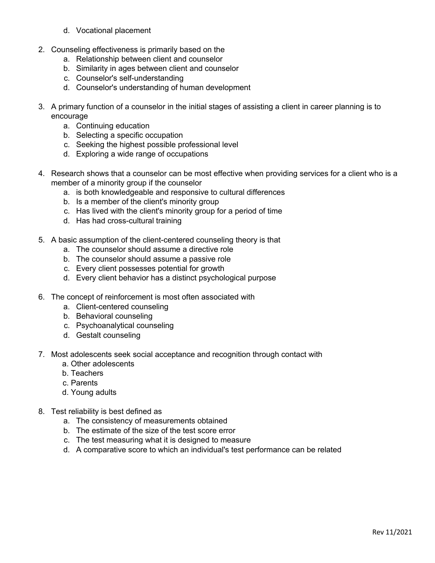- d. Vocational placement
- 2. Counseling effectiveness is primarily based on the
	- a. Relationship between client and counselor
	- b. Similarity in ages between client and counselor
	- c. Counselor's self-understanding
	- d. Counselor's understanding of human development
- 3. A primary function of a counselor in the initial stages of assisting a client in career planning is to encourage
	- a. Continuing education
	- b. Selecting a specific occupation
	- c. Seeking the highest possible professional level
	- d. Exploring a wide range of occupations
- 4. Research shows that a counselor can be most effective when providing services for a client who is a member of a minority group if the counselor
	- a. is both knowledgeable and responsive to cultural differences
	- b. Is a member of the client's minority group
	- c. Has lived with the client's minority group for a period of time
	- d. Has had cross-cultural training
- 5. A basic assumption of the client-centered counseling theory is that
	- a. The counselor should assume a directive role
	- b. The counselor should assume a passive role
	- c. Every client possesses potential for growth
	- d. Every client behavior has a distinct psychological purpose
- 6. The concept of reinforcement is most often associated with
	- a. Client-centered counseling
	- b. Behavioral counseling
	- c. Psychoanalytical counseling
	- d. Gestalt counseling
- 7. Most adolescents seek social acceptance and recognition through contact with
	- a. Other adolescents
	- b. Teachers
	- c. Parents
	- d. Young adults
- 8. Test reliability is best defined as
	- a. The consistency of measurements obtained
	- b. The estimate of the size of the test score error
	- c. The test measuring what it is designed to measure
	- d. A comparative score to which an individual's test performance can be related